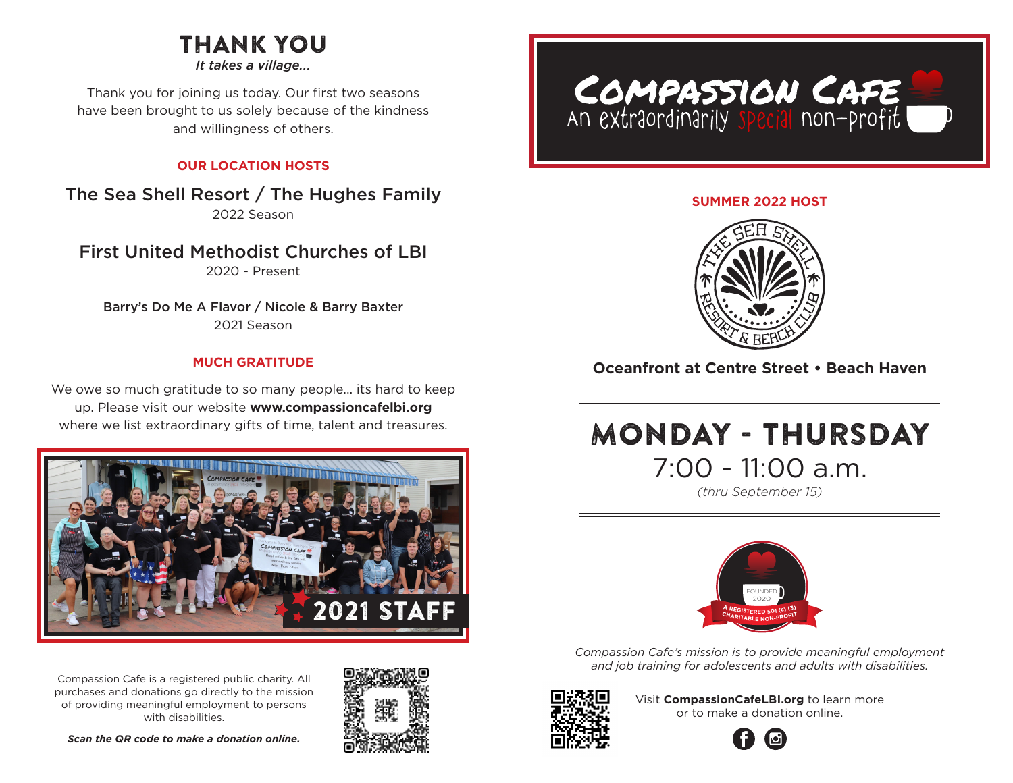# THANK YOU

*It takes a village...*

Thank you for joining us today. Our first two seasons have been brought to us solely because of the kindness and willingness of others.

### **OUR LOCATION HOSTS**

The Sea Shell Resort / The Hughes Family 2022 Season

First United Methodist Churches of LBI

2020 - Present

Barry's Do Me A Flavor / Nicole & Barry Baxter 2021 Season

#### **MUCH GRATITUDE**

We owe so much gratitude to so many people... its hard to keep up. Please visit our website **www.compassioncafelbi.org** where we list extraordinary gifts of time, talent and treasures.



Compassion Cafe is a registered public charity. All purchases and donations go directly to the mission of providing meaningful employment to persons with disabilities.

*Scan the QR code to make a donation online.*





#### **SUMMER 2022 HOST**



### **Oceanfront at Centre Street • Beach Haven**

# MONDAY - THURSDAY 7:00 - 11:00 a.m.

*(thru September 15)*



*Compassion Cafe's mission is to provide meaningful employment and job training for adolescents and adults with disabilities.* 



Visit **CompassionCafeLBI.org** to learn more or to make a donation online.